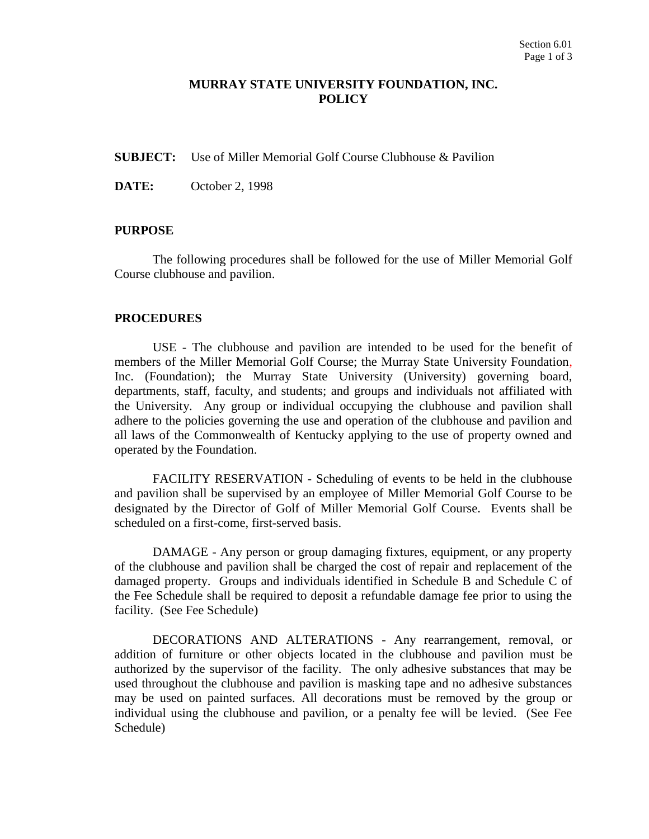## **MURRAY STATE UNIVERSITY FOUNDATION, INC. POLICY**

**SUBJECT:** Use of Miller Memorial Golf Course Clubhouse & Pavilion

**DATE:** October 2, 1998

## **PURPOSE**

The following procedures shall be followed for the use of Miller Memorial Golf Course clubhouse and pavilion.

## **PROCEDURES**

USE - The clubhouse and pavilion are intended to be used for the benefit of members of the Miller Memorial Golf Course; the Murray State University Foundation, Inc. (Foundation); the Murray State University (University) governing board, departments, staff, faculty, and students; and groups and individuals not affiliated with the University. Any group or individual occupying the clubhouse and pavilion shall adhere to the policies governing the use and operation of the clubhouse and pavilion and all laws of the Commonwealth of Kentucky applying to the use of property owned and operated by the Foundation.

FACILITY RESERVATION - Scheduling of events to be held in the clubhouse and pavilion shall be supervised by an employee of Miller Memorial Golf Course to be designated by the Director of Golf of Miller Memorial Golf Course. Events shall be scheduled on a first-come, first-served basis.

DAMAGE - Any person or group damaging fixtures, equipment, or any property of the clubhouse and pavilion shall be charged the cost of repair and replacement of the damaged property. Groups and individuals identified in Schedule B and Schedule C of the Fee Schedule shall be required to deposit a refundable damage fee prior to using the facility. (See Fee Schedule)

DECORATIONS AND ALTERATIONS - Any rearrangement, removal, or addition of furniture or other objects located in the clubhouse and pavilion must be authorized by the supervisor of the facility. The only adhesive substances that may be used throughout the clubhouse and pavilion is masking tape and no adhesive substances may be used on painted surfaces. All decorations must be removed by the group or individual using the clubhouse and pavilion, or a penalty fee will be levied. (See Fee Schedule)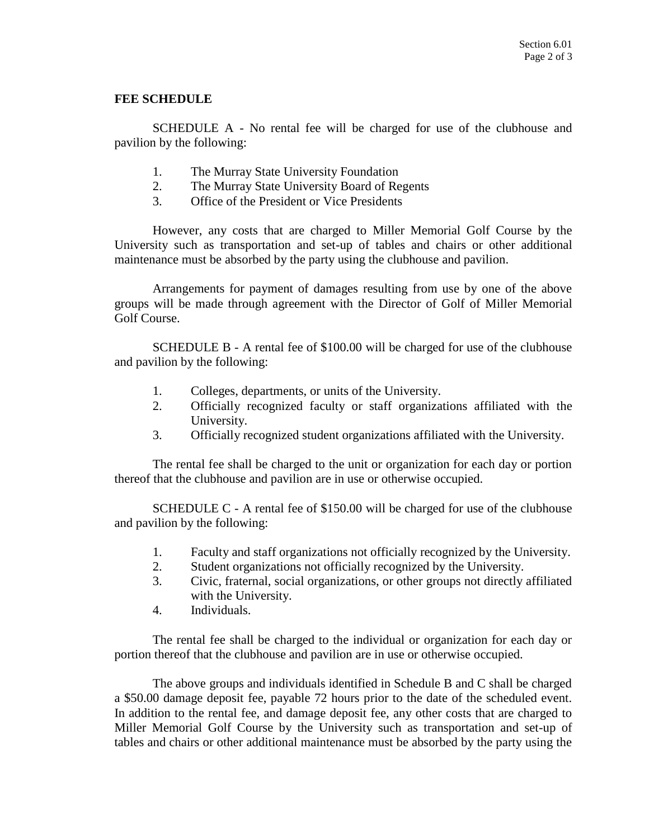## **FEE SCHEDULE**

SCHEDULE A - No rental fee will be charged for use of the clubhouse and pavilion by the following:

- 1. The Murray State University Foundation
- 2. The Murray State University Board of Regents
- 3. Office of the President or Vice Presidents

However, any costs that are charged to Miller Memorial Golf Course by the University such as transportation and set-up of tables and chairs or other additional maintenance must be absorbed by the party using the clubhouse and pavilion.

Arrangements for payment of damages resulting from use by one of the above groups will be made through agreement with the Director of Golf of Miller Memorial Golf Course.

SCHEDULE B - A rental fee of \$100.00 will be charged for use of the clubhouse and pavilion by the following:

- 1. Colleges, departments, or units of the University.
- 2. Officially recognized faculty or staff organizations affiliated with the University.
- 3. Officially recognized student organizations affiliated with the University.

The rental fee shall be charged to the unit or organization for each day or portion thereof that the clubhouse and pavilion are in use or otherwise occupied.

SCHEDULE C - A rental fee of \$150.00 will be charged for use of the clubhouse and pavilion by the following:

- 1. Faculty and staff organizations not officially recognized by the University.
- 2. Student organizations not officially recognized by the University.
- 3. Civic, fraternal, social organizations, or other groups not directly affiliated with the University.
- 4. Individuals.

The rental fee shall be charged to the individual or organization for each day or portion thereof that the clubhouse and pavilion are in use or otherwise occupied.

The above groups and individuals identified in Schedule B and C shall be charged a \$50.00 damage deposit fee, payable 72 hours prior to the date of the scheduled event. In addition to the rental fee, and damage deposit fee, any other costs that are charged to Miller Memorial Golf Course by the University such as transportation and set-up of tables and chairs or other additional maintenance must be absorbed by the party using the